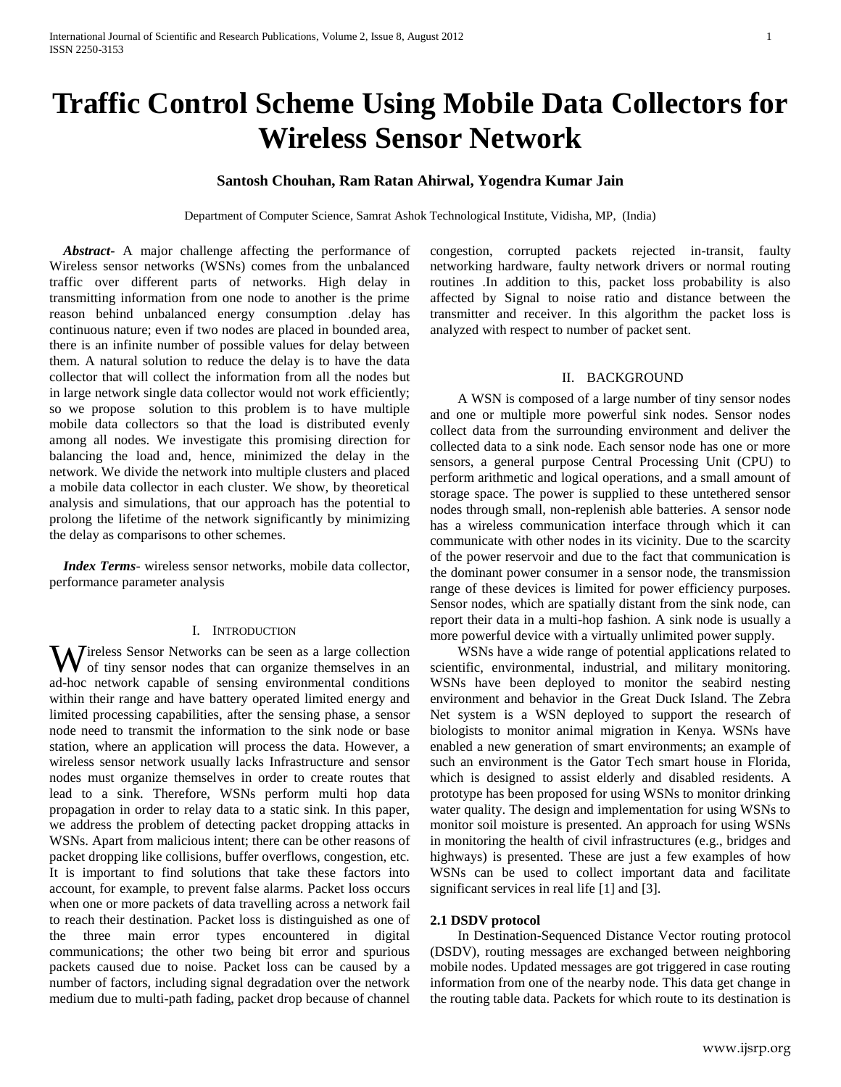# **Traffic Control Scheme Using Mobile Data Collectors for Wireless Sensor Network**

# **Santosh Chouhan, Ram Ratan Ahirwal, Yogendra Kumar Jain**

Department of Computer Science, Samrat Ashok Technological Institute, Vidisha, MP, (India)

 *Abstract***-** A major challenge affecting the performance of Wireless sensor networks (WSNs) comes from the unbalanced traffic over different parts of networks. High delay in transmitting information from one node to another is the prime reason behind unbalanced energy consumption .delay has continuous nature; even if two nodes are placed in bounded area, there is an infinite number of possible values for delay between them. A natural solution to reduce the delay is to have the data collector that will collect the information from all the nodes but in large network single data collector would not work efficiently; so we propose solution to this problem is to have multiple mobile data collectors so that the load is distributed evenly among all nodes. We investigate this promising direction for balancing the load and, hence, minimized the delay in the network. We divide the network into multiple clusters and placed a mobile data collector in each cluster. We show, by theoretical analysis and simulations, that our approach has the potential to prolong the lifetime of the network significantly by minimizing the delay as comparisons to other schemes.

 *Index Terms*- wireless sensor networks, mobile data collector, performance parameter analysis

#### I. INTRODUCTION

Wireless Sensor Networks can be seen as a large collection<br>of tiny sensor nodes that can organize themselves in an of tiny sensor nodes that can organize themselves in an ad-hoc network capable of sensing environmental conditions within their range and have battery operated limited energy and limited processing capabilities, after the sensing phase, a sensor node need to transmit the information to the sink node or base station, where an application will process the data. However, a wireless sensor network usually lacks Infrastructure and sensor nodes must organize themselves in order to create routes that lead to a sink. Therefore, WSNs perform multi hop data propagation in order to relay data to a static sink. In this paper, we address the problem of detecting packet dropping attacks in WSNs. Apart from malicious intent; there can be other reasons of packet dropping like collisions, buffer overflows, congestion, etc. It is important to find solutions that take these factors into account, for example, to prevent false alarms. Packet loss occurs when one or more packets of data travelling across a network fail to reach their destination. Packet loss is distinguished as one of the three main error types encountered in digital communications; the other two being bit error and spurious packets caused due to noise. Packet loss can be caused by a number of factors, including signal degradation over the network medium due to multi-path fading, packet drop because of channel

congestion, corrupted packets rejected in-transit, faulty networking hardware, faulty network drivers or normal routing routines .In addition to this, packet loss probability is also affected by Signal to noise ratio and distance between the transmitter and receiver. In this algorithm the packet loss is analyzed with respect to number of packet sent.

# II. BACKGROUND

 A WSN is composed of a large number of tiny sensor nodes and one or multiple more powerful sink nodes. Sensor nodes collect data from the surrounding environment and deliver the collected data to a sink node. Each sensor node has one or more sensors, a general purpose Central Processing Unit (CPU) to perform arithmetic and logical operations, and a small amount of storage space. The power is supplied to these untethered sensor nodes through small, non-replenish able batteries. A sensor node has a wireless communication interface through which it can communicate with other nodes in its vicinity. Due to the scarcity of the power reservoir and due to the fact that communication is the dominant power consumer in a sensor node, the transmission range of these devices is limited for power efficiency purposes. Sensor nodes, which are spatially distant from the sink node, can report their data in a multi-hop fashion. A sink node is usually a more powerful device with a virtually unlimited power supply.

 WSNs have a wide range of potential applications related to scientific, environmental, industrial, and military monitoring. WSNs have been deployed to monitor the seabird nesting environment and behavior in the Great Duck Island. The Zebra Net system is a WSN deployed to support the research of biologists to monitor animal migration in Kenya. WSNs have enabled a new generation of smart environments; an example of such an environment is the Gator Tech smart house in Florida, which is designed to assist elderly and disabled residents. A prototype has been proposed for using WSNs to monitor drinking water quality. The design and implementation for using WSNs to monitor soil moisture is presented. An approach for using WSNs in monitoring the health of civil infrastructures (e.g., bridges and highways) is presented. These are just a few examples of how WSNs can be used to collect important data and facilitate significant services in real life [1] and [3].

#### **2.1 DSDV protocol**

 In Destination-Sequenced Distance Vector routing protocol (DSDV), routing messages are exchanged between neighboring mobile nodes. Updated messages are got triggered in case routing information from one of the nearby node. This data get change in the routing table data. Packets for which route to its destination is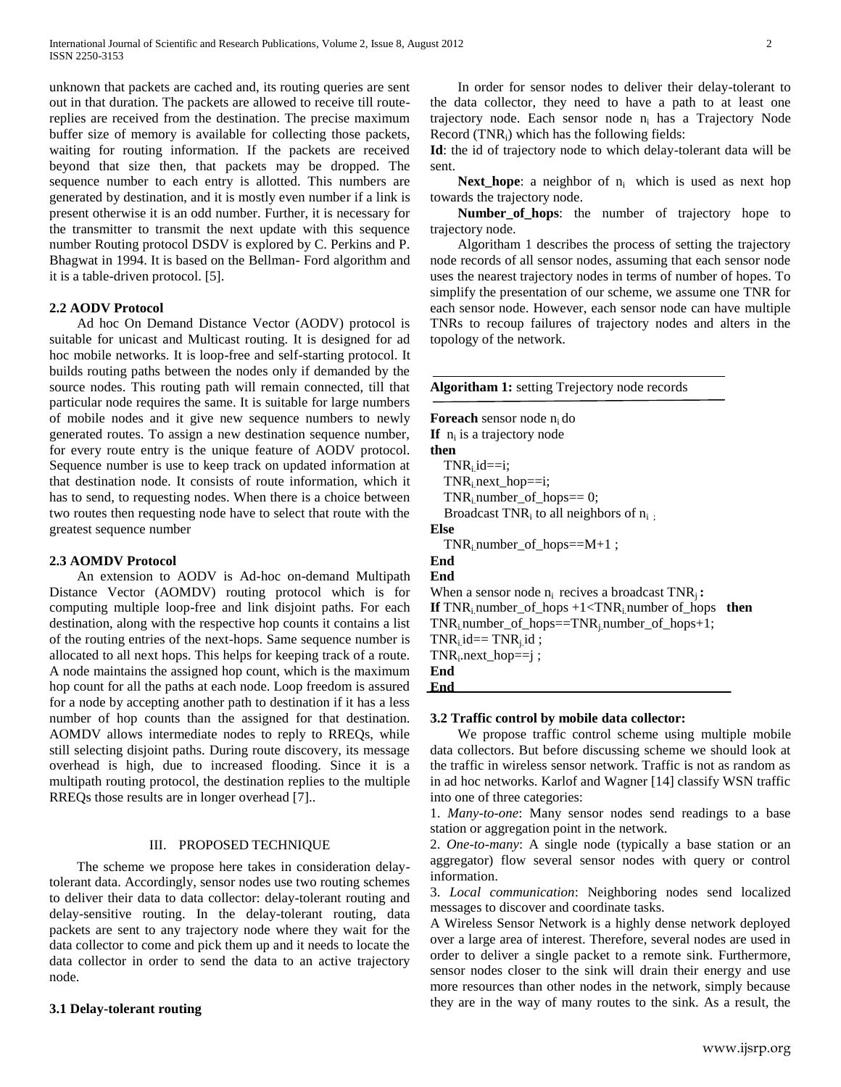unknown that packets are cached and, its routing queries are sent out in that duration. The packets are allowed to receive till routereplies are received from the destination. The precise maximum buffer size of memory is available for collecting those packets, waiting for routing information. If the packets are received beyond that size then, that packets may be dropped. The sequence number to each entry is allotted. This numbers are generated by destination, and it is mostly even number if a link is present otherwise it is an odd number. Further, it is necessary for the transmitter to transmit the next update with this sequence number Routing protocol DSDV is explored by C. Perkins and P. Bhagwat in 1994. It is based on the Bellman- Ford algorithm and it is a table-driven protocol. [5].

## **2.2 AODV Protocol**

 Ad hoc On Demand Distance Vector (AODV) protocol is suitable for unicast and Multicast routing. It is designed for ad hoc mobile networks. It is loop-free and self-starting protocol. It builds routing paths between the nodes only if demanded by the source nodes. This routing path will remain connected, till that particular node requires the same. It is suitable for large numbers of mobile nodes and it give new sequence numbers to newly generated routes. To assign a new destination sequence number, for every route entry is the unique feature of AODV protocol. Sequence number is use to keep track on updated information at that destination node. It consists of route information, which it has to send, to requesting nodes. When there is a choice between two routes then requesting node have to select that route with the greatest sequence number

#### **2.3 AOMDV Protocol**

 An extension to AODV is Ad-hoc on-demand Multipath Distance Vector (AOMDV) routing protocol which is for computing multiple loop-free and link disjoint paths. For each destination, along with the respective hop counts it contains a list of the routing entries of the next-hops. Same sequence number is allocated to all next hops. This helps for keeping track of a route. A node maintains the assigned hop count, which is the maximum hop count for all the paths at each node. Loop freedom is assured for a node by accepting another path to destination if it has a less number of hop counts than the assigned for that destination. AOMDV allows intermediate nodes to reply to RREQs, while still selecting disjoint paths. During route discovery, its message overhead is high, due to increased flooding. Since it is a multipath routing protocol, the destination replies to the multiple RREQs those results are in longer overhead [7]..

#### III. PROPOSED TECHNIQUE

 The scheme we propose here takes in consideration delaytolerant data. Accordingly, sensor nodes use two routing schemes to deliver their data to data collector: delay-tolerant routing and delay-sensitive routing. In the delay-tolerant routing, data packets are sent to any trajectory node where they wait for the data collector to come and pick them up and it needs to locate the data collector in order to send the data to an active trajectory node.

#### **3.1 Delay-tolerant routing**

 In order for sensor nodes to deliver their delay-tolerant to the data collector, they need to have a path to at least one trajectory node. Each sensor node  $n_i$  has a Trajectory Node Record (TNRi) which has the following fields:

**Id**: the id of trajectory node to which delay-tolerant data will be sent.

**Next\_hope**: a neighbor of  $n_i$  which is used as next hop towards the trajectory node.

 **Number\_of\_hops**: the number of trajectory hope to trajectory node.

 Algoritham 1 describes the process of setting the trajectory node records of all sensor nodes, assuming that each sensor node uses the nearest trajectory nodes in terms of number of hopes. To simplify the presentation of our scheme, we assume one TNR for each sensor node. However, each sensor node can have multiple TNRs to recoup failures of trajectory nodes and alters in the topology of the network.

**Algoritham 1:** setting Trejectory node records **Foreach** sensor node n<sub>i</sub> do If  $n_i$  is a trajectory node **then**  $TNR_i$  id==i; TNR<sub>i</sub> next\_hop==i;  $TNR_i$  number\_of\_hops== 0; Broadcast TNR<sub>i</sub> to all neighbors of  $n_i$ ; **Else** TNRi.number\_of\_hops==M+1 ; **End End** When a sensor node  $n_i$  recives a broadcast  $TNR_i$ : **If**  $TNR_i$  number of hops  $+1 < TNR_i$  number of hops **then**  $TNR_i$  number\_of\_hops==TNR<sub>i</sub> number\_of\_hops+1;  $TNR_{i}$  id==  $TNR_{i}$  id ; TNR<sup>i</sup> .next\_hop==j ; **End End**

#### **3.2 Traffic control by mobile data collector:**

 We propose traffic control scheme using multiple mobile data collectors. But before discussing scheme we should look at the traffic in wireless sensor network. Traffic is not as random as in ad hoc networks. Karlof and Wagner [14] classify WSN traffic into one of three categories:

1. *Many-to-one*: Many sensor nodes send readings to a base station or aggregation point in the network.

2. *One-to-many*: A single node (typically a base station or an aggregator) flow several sensor nodes with query or control information.

3. *Local communication*: Neighboring nodes send localized messages to discover and coordinate tasks.

A Wireless Sensor Network is a highly dense network deployed over a large area of interest. Therefore, several nodes are used in order to deliver a single packet to a remote sink. Furthermore, sensor nodes closer to the sink will drain their energy and use more resources than other nodes in the network, simply because they are in the way of many routes to the sink. As a result, the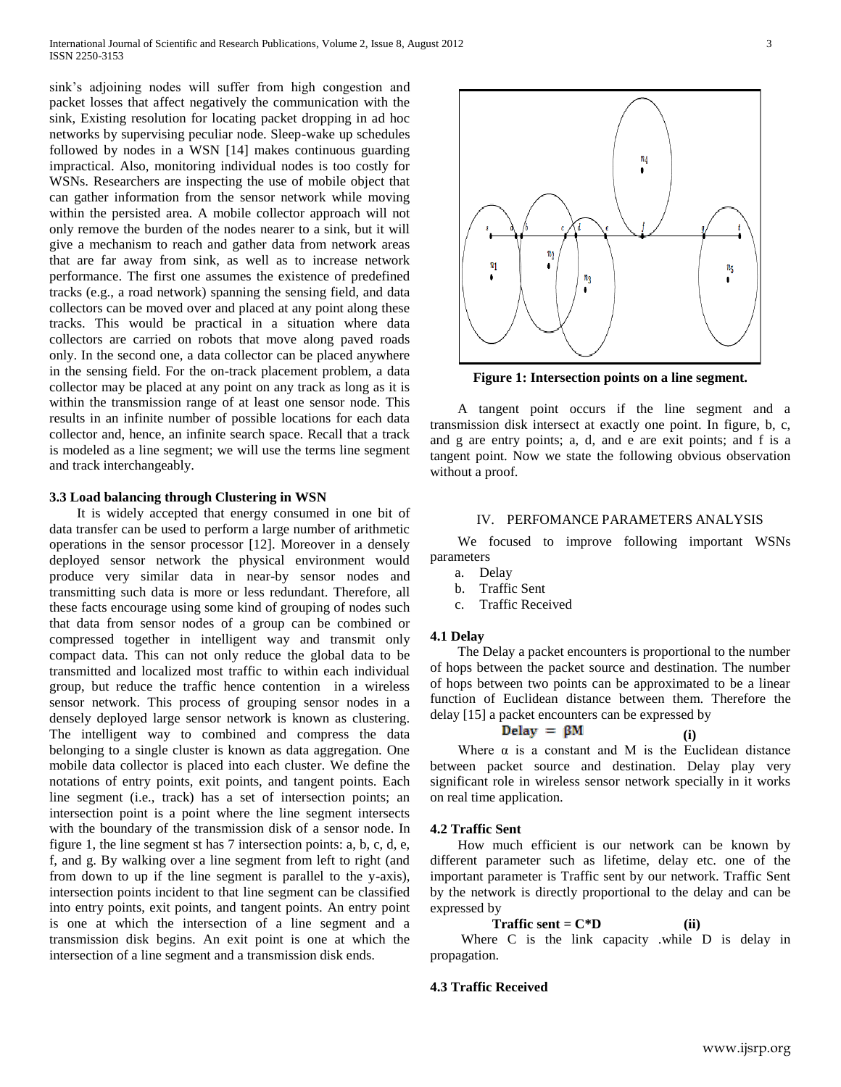sink's adjoining nodes will suffer from high congestion and packet losses that affect negatively the communication with the sink, Existing resolution for locating packet dropping in ad hoc networks by supervising peculiar node. Sleep-wake up schedules followed by nodes in a WSN [14] makes continuous guarding impractical. Also, monitoring individual nodes is too costly for WSNs. Researchers are inspecting the use of mobile object that can gather information from the sensor network while moving within the persisted area. A mobile collector approach will not only remove the burden of the nodes nearer to a sink, but it will give a mechanism to reach and gather data from network areas that are far away from sink, as well as to increase network performance. The first one assumes the existence of predefined tracks (e.g., a road network) spanning the sensing field, and data collectors can be moved over and placed at any point along these tracks. This would be practical in a situation where data collectors are carried on robots that move along paved roads only. In the second one, a data collector can be placed anywhere in the sensing field. For the on-track placement problem, a data collector may be placed at any point on any track as long as it is within the transmission range of at least one sensor node. This results in an infinite number of possible locations for each data collector and, hence, an infinite search space. Recall that a track is modeled as a line segment; we will use the terms line segment and track interchangeably.

# **3.3 Load balancing through Clustering in WSN**

 It is widely accepted that energy consumed in one bit of data transfer can be used to perform a large number of arithmetic operations in the sensor processor [12]. Moreover in a densely deployed sensor network the physical environment would produce very similar data in near-by sensor nodes and transmitting such data is more or less redundant. Therefore, all these facts encourage using some kind of grouping of nodes such that data from sensor nodes of a group can be combined or compressed together in intelligent way and transmit only compact data. This can not only reduce the global data to be transmitted and localized most traffic to within each individual group, but reduce the traffic hence contention in a wireless sensor network. This process of grouping sensor nodes in a densely deployed large sensor network is known as clustering. The intelligent way to combined and compress the data belonging to a single cluster is known as data aggregation. One mobile data collector is placed into each cluster. We define the notations of entry points, exit points, and tangent points. Each line segment (i.e., track) has a set of intersection points; an intersection point is a point where the line segment intersects with the boundary of the transmission disk of a sensor node. In figure 1, the line segment st has 7 intersection points: a, b, c, d, e, f, and g. By walking over a line segment from left to right (and from down to up if the line segment is parallel to the y-axis), intersection points incident to that line segment can be classified into entry points, exit points, and tangent points. An entry point is one at which the intersection of a line segment and a transmission disk begins. An exit point is one at which the intersection of a line segment and a transmission disk ends.



**Figure 1: Intersection points on a line segment.**

 A tangent point occurs if the line segment and a transmission disk intersect at exactly one point. In figure, b, c, and g are entry points; a, d, and e are exit points; and f is a tangent point. Now we state the following obvious observation without a proof.

# IV. PERFOMANCE PARAMETERS ANALYSIS

 We focused to improve following important WSNs parameters

- a. Delay
- b. Traffic Sent
- c. Traffic Received

## **4.1 Delay**

 The Delay a packet encounters is proportional to the number of hops between the packet source and destination. The number of hops between two points can be approximated to be a linear function of Euclidean distance between them. Therefore the delay [15] a packet encounters can be expressed by

$$
Delay = \beta M \qquad (i)
$$

Where  $\alpha$  is a constant and M is the Euclidean distance between packet source and destination. Delay play very significant role in wireless sensor network specially in it works on real time application.

## **4.2 Traffic Sent**

 How much efficient is our network can be known by different parameter such as lifetime, delay etc. one of the important parameter is Traffic sent by our network. Traffic Sent by the network is directly proportional to the delay and can be expressed by

$$
Traffic sent = C*D
$$
 (ii)

 Where C is the link capacity .while D is delay in propagation.

# **4.3 Traffic Received**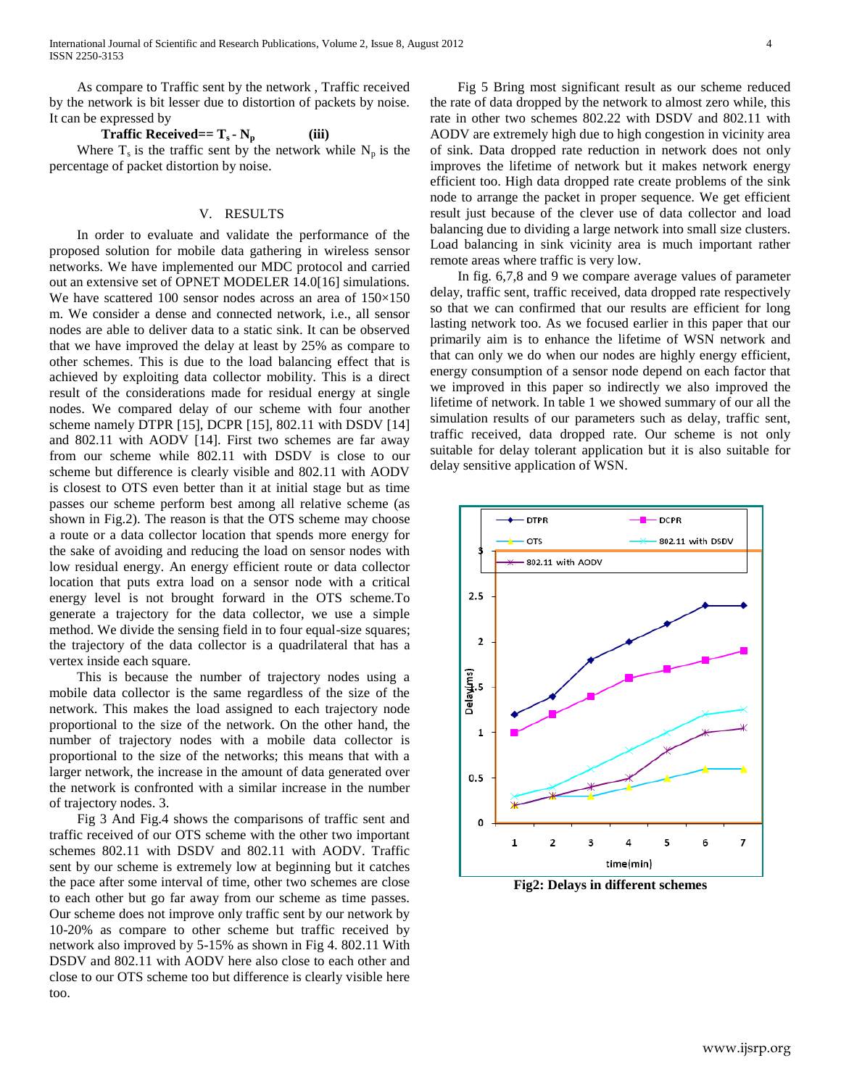As compare to Traffic sent by the network , Traffic received by the network is bit lesser due to distortion of packets by noise. It can be expressed by

**Traffic Received==**  $T_s \cdot N_p$  **(iii)** Where  $T_s$  is the traffic sent by the network while  $N_p$  is the percentage of packet distortion by noise.

#### V. RESULTS

 In order to evaluate and validate the performance of the proposed solution for mobile data gathering in wireless sensor networks. We have implemented our MDC protocol and carried out an extensive set of OPNET MODELER 14.0[16] simulations. We have scattered 100 sensor nodes across an area of 150×150 m. We consider a dense and connected network, i.e., all sensor nodes are able to deliver data to a static sink. It can be observed that we have improved the delay at least by 25% as compare to other schemes. This is due to the load balancing effect that is achieved by exploiting data collector mobility. This is a direct result of the considerations made for residual energy at single nodes. We compared delay of our scheme with four another scheme namely DTPR [15], DCPR [15], 802.11 with DSDV [14] and 802.11 with AODV [14]. First two schemes are far away from our scheme while 802.11 with DSDV is close to our scheme but difference is clearly visible and 802.11 with AODV is closest to OTS even better than it at initial stage but as time passes our scheme perform best among all relative scheme (as shown in Fig.2). The reason is that the OTS scheme may choose a route or a data collector location that spends more energy for the sake of avoiding and reducing the load on sensor nodes with low residual energy. An energy efficient route or data collector location that puts extra load on a sensor node with a critical energy level is not brought forward in the OTS scheme.To generate a trajectory for the data collector, we use a simple method. We divide the sensing field in to four equal-size squares; the trajectory of the data collector is a quadrilateral that has a vertex inside each square.

 This is because the number of trajectory nodes using a mobile data collector is the same regardless of the size of the network. This makes the load assigned to each trajectory node proportional to the size of the network. On the other hand, the number of trajectory nodes with a mobile data collector is proportional to the size of the networks; this means that with a larger network, the increase in the amount of data generated over the network is confronted with a similar increase in the number of trajectory nodes. 3.

 Fig 3 And Fig.4 shows the comparisons of traffic sent and traffic received of our OTS scheme with the other two important schemes 802.11 with DSDV and 802.11 with AODV. Traffic sent by our scheme is extremely low at beginning but it catches the pace after some interval of time, other two schemes are close to each other but go far away from our scheme as time passes. Our scheme does not improve only traffic sent by our network by 10-20% as compare to other scheme but traffic received by network also improved by 5-15% as shown in Fig 4. 802.11 With DSDV and 802.11 with AODV here also close to each other and close to our OTS scheme too but difference is clearly visible here too.

 Fig 5 Bring most significant result as our scheme reduced the rate of data dropped by the network to almost zero while, this rate in other two schemes 802.22 with DSDV and 802.11 with AODV are extremely high due to high congestion in vicinity area of sink. Data dropped rate reduction in network does not only improves the lifetime of network but it makes network energy efficient too. High data dropped rate create problems of the sink node to arrange the packet in proper sequence. We get efficient result just because of the clever use of data collector and load balancing due to dividing a large network into small size clusters. Load balancing in sink vicinity area is much important rather remote areas where traffic is very low.

 In fig. 6,7,8 and 9 we compare average values of parameter delay, traffic sent, traffic received, data dropped rate respectively so that we can confirmed that our results are efficient for long lasting network too. As we focused earlier in this paper that our primarily aim is to enhance the lifetime of WSN network and that can only we do when our nodes are highly energy efficient, energy consumption of a sensor node depend on each factor that we improved in this paper so indirectly we also improved the lifetime of network. In table 1 we showed summary of our all the simulation results of our parameters such as delay, traffic sent, traffic received, data dropped rate. Our scheme is not only suitable for delay tolerant application but it is also suitable for delay sensitive application of WSN.



**Fig2: Delays in different schemes**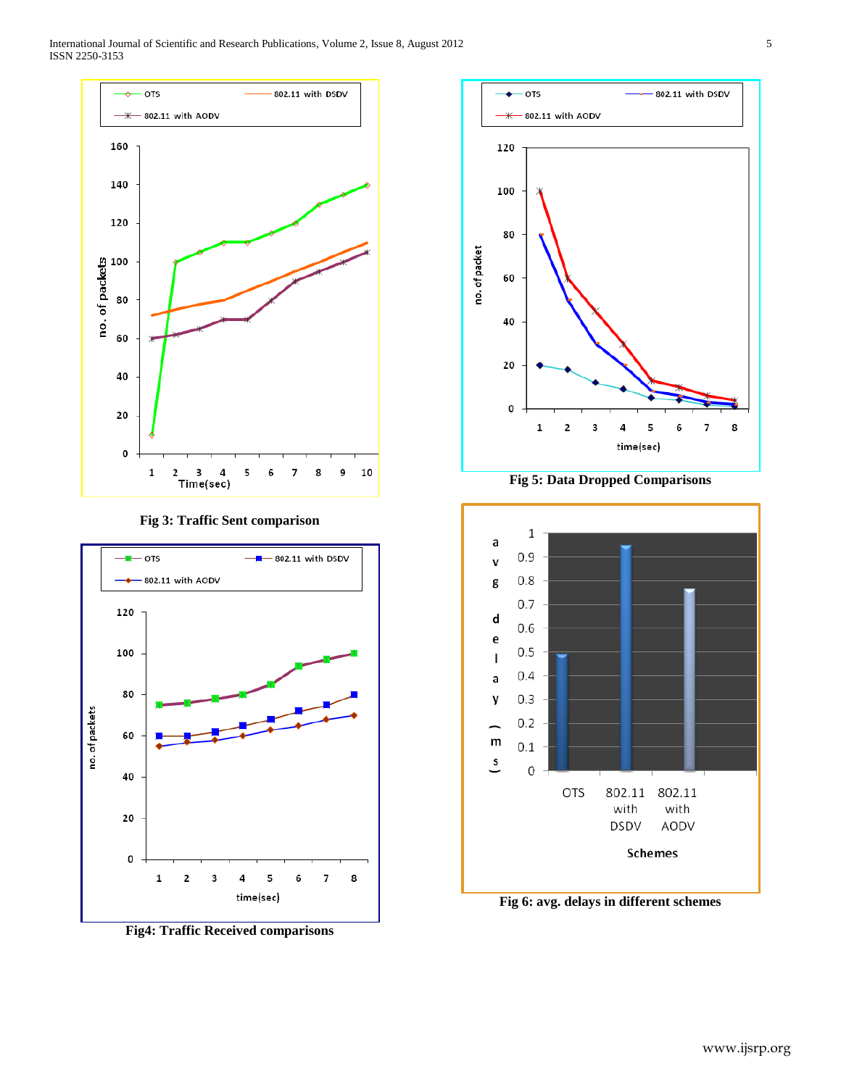International Journal of Scientific and Research Publications, Volume 2, Issue 8, August 2012 5 ISSN 2250-3153







**Fig4: Traffic Received comparisons**



**Fig 5: Data Dropped Comparisons**



**Fig 6: avg. delays in different schemes**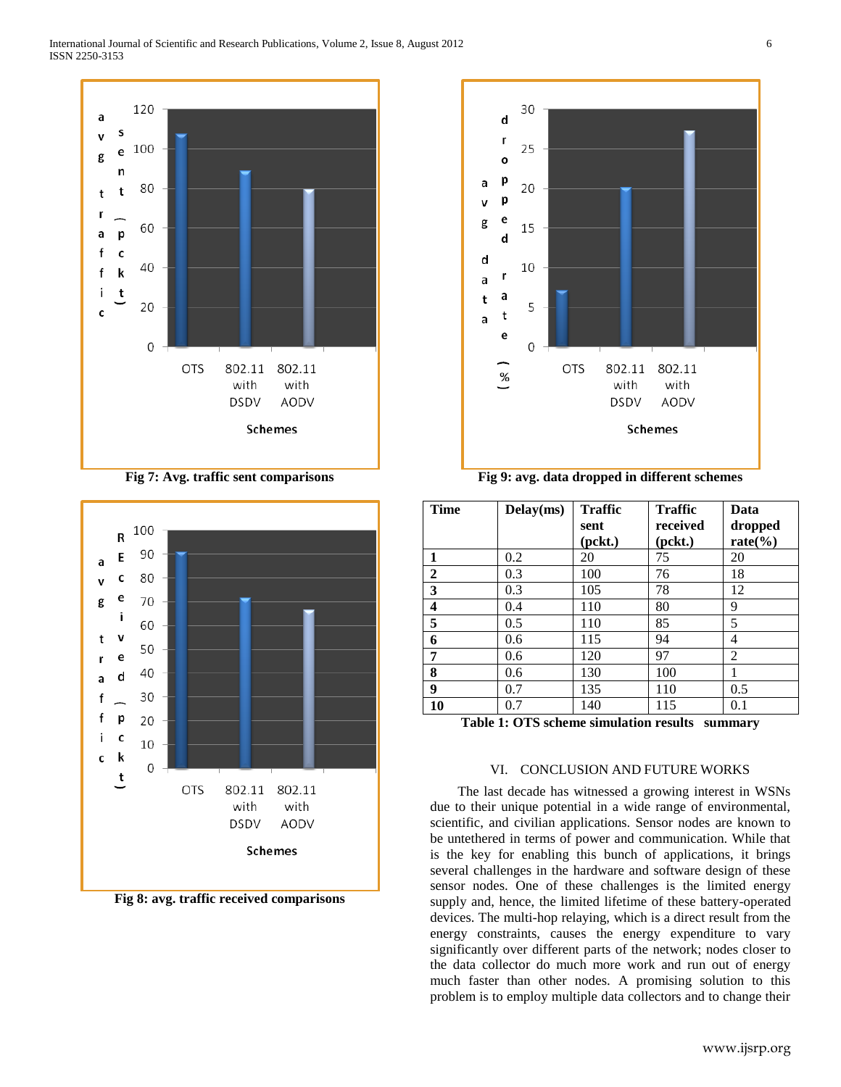

**Fig 7: Avg. traffic sent comparisons**



**Fig 8: avg. traffic received comparisons**



**Fig 9: avg. data dropped in different schemes**

| <b>Time</b>                                       | Delay(ms) | <b>Traffic</b><br>sent<br>(pckt.) | <b>Traffic</b><br>received<br>(pckt.) | Data<br>dropped<br>$rate(\%)$ |
|---------------------------------------------------|-----------|-----------------------------------|---------------------------------------|-------------------------------|
| 1                                                 | 0.2       | 20                                | 75                                    | 20                            |
| $\overline{2}$                                    | 0.3       | 100                               | 76                                    | 18                            |
| 3                                                 | 0.3       | 105                               | 78                                    | 12                            |
| 4                                                 | 0.4       | 110                               | 80                                    | 9                             |
| 5                                                 | 0.5       | 110                               | 85                                    | 5                             |
| 6                                                 | 0.6       | 115                               | 94                                    | 4                             |
| 7                                                 | 0.6       | 120                               | 97                                    | $\overline{2}$                |
| 8                                                 | 0.6       | 130                               | 100                                   | 1                             |
| 9                                                 | 0.7       | 135                               | 110                                   | 0.5                           |
| 10                                                | 0.7       | 140                               | 115                                   | 0.1                           |
| Tahle 1: OTS scheme simulation results<br>cummary |           |                                   |                                       |                               |

**Table 1: OTS scheme simulation results summary**

## VI. CONCLUSION AND FUTURE WORKS

 The last decade has witnessed a growing interest in WSNs due to their unique potential in a wide range of environmental, scientific, and civilian applications. Sensor nodes are known to be untethered in terms of power and communication. While that is the key for enabling this bunch of applications, it brings several challenges in the hardware and software design of these sensor nodes. One of these challenges is the limited energy supply and, hence, the limited lifetime of these battery-operated devices. The multi-hop relaying, which is a direct result from the energy constraints, causes the energy expenditure to vary significantly over different parts of the network; nodes closer to the data collector do much more work and run out of energy much faster than other nodes. A promising solution to this problem is to employ multiple data collectors and to change their